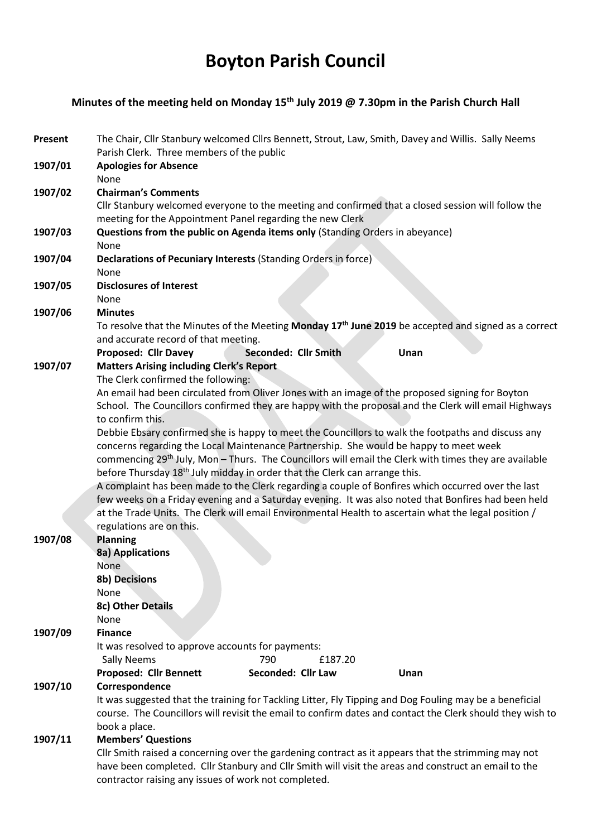# Boyton Parish Council

# Minutes of the meeting held on Monday 15<sup>th</sup> July 2019 @ 7.30pm in the Parish Church Hall

| <b>Present</b> | The Chair, Cllr Stanbury welcomed Cllrs Bennett, Strout, Law, Smith, Davey and Willis. Sally Neems<br>Parish Clerk. Three members of the public                 |
|----------------|-----------------------------------------------------------------------------------------------------------------------------------------------------------------|
| 1907/01        | <b>Apologies for Absence</b><br>None                                                                                                                            |
| 1907/02        | <b>Chairman's Comments</b>                                                                                                                                      |
|                | Cllr Stanbury welcomed everyone to the meeting and confirmed that a closed session will follow the<br>meeting for the Appointment Panel regarding the new Clerk |
| 1907/03        | Questions from the public on Agenda items only (Standing Orders in abeyance)                                                                                    |
|                | None                                                                                                                                                            |
| 1907/04        | Declarations of Pecuniary Interests (Standing Orders in force)                                                                                                  |
|                | None                                                                                                                                                            |
| 1907/05        | <b>Disclosures of Interest</b>                                                                                                                                  |
|                | None                                                                                                                                                            |
| 1907/06        | <b>Minutes</b>                                                                                                                                                  |
|                | To resolve that the Minutes of the Meeting Monday 17 <sup>th</sup> June 2019 be accepted and signed as a correct                                                |
|                | and accurate record of that meeting.                                                                                                                            |
|                | <b>Proposed: Cllr Davey</b><br>Seconded: Cllr Smith<br>Unan                                                                                                     |
| 1907/07        | <b>Matters Arising including Clerk's Report</b>                                                                                                                 |
|                | The Clerk confirmed the following:                                                                                                                              |
|                | An email had been circulated from Oliver Jones with an image of the proposed signing for Boyton                                                                 |
|                | School. The Councillors confirmed they are happy with the proposal and the Clerk will email Highways                                                            |
|                | to confirm this.                                                                                                                                                |
|                | Debbie Ebsary confirmed she is happy to meet the Councillors to walk the footpaths and discuss any                                                              |
|                | concerns regarding the Local Maintenance Partnership. She would be happy to meet week                                                                           |
|                | commencing 29 <sup>th</sup> July, Mon - Thurs. The Councillors will email the Clerk with times they are available                                               |
|                | before Thursday 18 <sup>th</sup> July midday in order that the Clerk can arrange this.                                                                          |
|                | A complaint has been made to the Clerk regarding a couple of Bonfires which occurred over the last                                                              |
|                | few weeks on a Friday evening and a Saturday evening. It was also noted that Bonfires had been held                                                             |
|                | at the Trade Units. The Clerk will email Environmental Health to ascertain what the legal position /                                                            |
|                | regulations are on this.                                                                                                                                        |
| 1907/08        | <b>Planning</b>                                                                                                                                                 |
|                | 8a) Applications                                                                                                                                                |
|                | None                                                                                                                                                            |
|                | 8b) Decisions                                                                                                                                                   |
|                | None                                                                                                                                                            |
|                | 8c) Other Details                                                                                                                                               |
|                | None                                                                                                                                                            |
| 1907/09        | <b>Finance</b>                                                                                                                                                  |
|                | It was resolved to approve accounts for payments:                                                                                                               |
|                | 790<br>£187.20<br><b>Sally Neems</b>                                                                                                                            |
|                | Seconded: Cllr Law<br><b>Proposed: Cllr Bennett</b><br>Unan                                                                                                     |
| 1907/10        | Correspondence                                                                                                                                                  |
|                | It was suggested that the training for Tackling Litter, Fly Tipping and Dog Fouling may be a beneficial                                                         |
|                | course. The Councillors will revisit the email to confirm dates and contact the Clerk should they wish to                                                       |
|                | book a place.                                                                                                                                                   |
| 1907/11        | <b>Members' Questions</b>                                                                                                                                       |
|                | Cllr Smith raised a concerning over the gardening contract as it appears that the strimming may not                                                             |
|                | have been completed. Cllr Stanbury and Cllr Smith will visit the areas and construct an email to the                                                            |
|                | contractor raising any issues of work not completed.                                                                                                            |